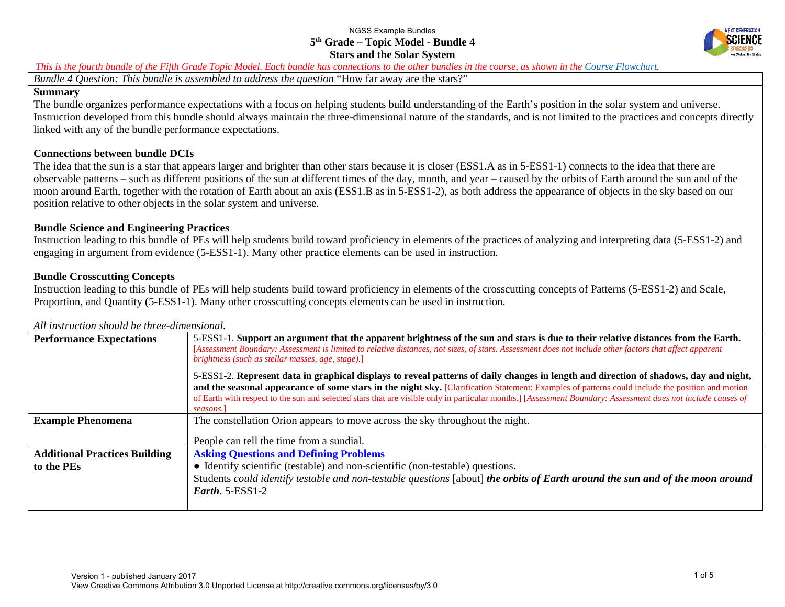

#### *This is the fourth bundle of the Fifth Grade Topic Model. Each bundle has connections to the other bundles in the course, as shown in the [Course Flowchart.](http://nextgenscience.org/sites/default/files/5th%20grade%20Topic%20Model%20Summary%20and%20Flowchart.pdf)*

*Bundle 4 Question: This bundle is assembled to address the question* "How far away are the stars?"

#### **Summary**

The bundle organizes performance expectations with a focus on helping students build understanding of the Earth's position in the solar system and universe*.* Instruction developed from this bundle should always maintain the three-dimensional nature of the standards, and is not limited to the practices and concepts directly linked with any of the bundle performance expectations.

### **Connections between bundle DCIs**

The idea that the sun is a star that appears larger and brighter than other stars because it is closer (ESS1.A as in 5-ESS1-1) connects to the idea that there are observable patterns – such as different positions of the sun at different times of the day, month, and year – caused by the orbits of Earth around the sun and of the moon around Earth, together with the rotation of Earth about an axis (ESS1.B as in 5-ESS1-2), as both address the appearance of objects in the sky based on our position relative to other objects in the solar system and universe.

## **Bundle Science and Engineering Practices**

Instruction leading to this bundle of PEs will help students build toward proficiency in elements of the practices of analyzing and interpreting data (5-ESS1-2) and engaging in argument from evidence (5-ESS1-1). Many other practice elements can be used in instruction.

## **Bundle Crosscutting Concepts**

Instruction leading to this bundle of PEs will help students build toward proficiency in elements of the crosscutting concepts of Patterns (5-ESS1-2) and Scale, Proportion, and Quantity (5-ESS1-1). Many other crosscutting concepts elements can be used in instruction.

## **Performance Expectations** 5-ESS1-1. Support an argument that the apparent brightness of the sun and stars is due to their relative distances from the Earth. [Assessment Boundary: Assessment is limited to relative distances, not sizes, of stars. Assessment does not include other factors that affect apparent *brightness (such as stellar masses, age, stage).*] 5-ESS1-2. **Represent data in graphical displays to reveal patterns of daily changes in length and direction of shadows, day and night, and the seasonal appearance of some stars in the night sky.** [Clarification Statement: Examples of patterns could include the position and motion of Earth with respect to the sun and selected stars that are visible only in particular months.] [*Assessment Boundary: Assessment does not include causes of seasons.*] **Example Phenomena** The constellation Orion appears to move across the sky throughout the night. People can tell the time from a sundial. **Additional Practices Building to the PEs Asking Questions and Defining Problems** ● Identify scientific (testable) and non-scientific (non-testable) questions. Students *could identify testable and non-testable questions* [about] *the orbits of Earth around the sun and of the moon around Earth*. 5-ESS1-2

#### *All instruction should be three-dimensional.*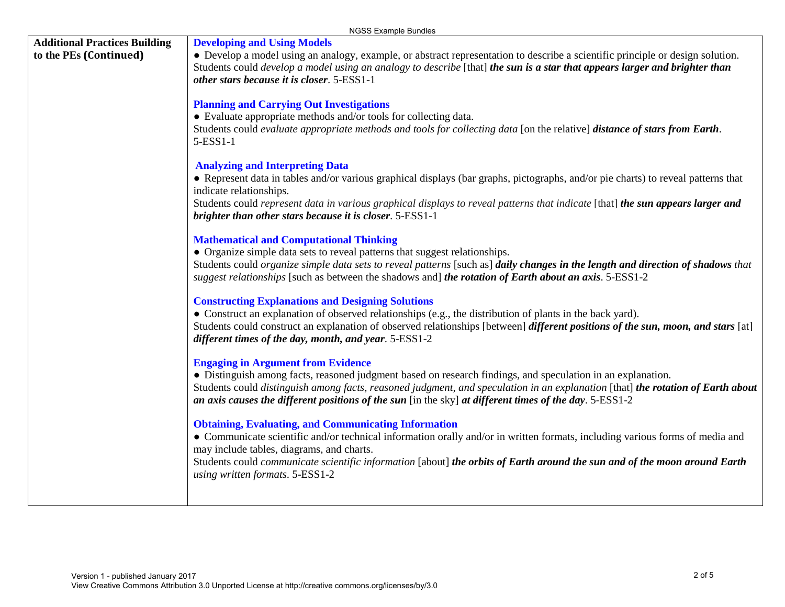|                                                                | NGSS Example Bundles                                                                                                                                                                                                                                                                                                                                                                                           |
|----------------------------------------------------------------|----------------------------------------------------------------------------------------------------------------------------------------------------------------------------------------------------------------------------------------------------------------------------------------------------------------------------------------------------------------------------------------------------------------|
| <b>Additional Practices Building</b><br>to the PEs (Continued) | <b>Developing and Using Models</b><br>• Develop a model using an analogy, example, or abstract representation to describe a scientific principle or design solution.<br>Students could <i>develop a model using an analogy to describe</i> [that] <i>the sun is a star that appears larger and brighter than</i><br>other stars because it is closer. 5-ESS1-1                                                 |
|                                                                | <b>Planning and Carrying Out Investigations</b><br>• Evaluate appropriate methods and/or tools for collecting data.<br>Students could evaluate appropriate methods and tools for collecting data [on the relative] distance of stars from Earth.<br>5-ESS1-1                                                                                                                                                   |
|                                                                | <b>Analyzing and Interpreting Data</b><br>• Represent data in tables and/or various graphical displays (bar graphs, pictographs, and/or pie charts) to reveal patterns that<br>indicate relationships.<br>Students could represent data in various graphical displays to reveal patterns that indicate [that] the sun appears larger and<br>brighter than other stars because it is closer. 5-ESS1-1           |
|                                                                | <b>Mathematical and Computational Thinking</b><br>• Organize simple data sets to reveal patterns that suggest relationships.<br>Students could organize simple data sets to reveal patterns [such as] daily changes in the length and direction of shadows that<br>suggest relationships [such as between the shadows and] the rotation of Earth about an axis. 5-ESS1-2                                       |
|                                                                | <b>Constructing Explanations and Designing Solutions</b><br>• Construct an explanation of observed relationships (e.g., the distribution of plants in the back yard).<br>Students could construct an explanation of observed relationships [between] different positions of the sun, moon, and stars [at]<br>different times of the day, month, and year. 5-ESS1-2                                             |
|                                                                | <b>Engaging in Argument from Evidence</b><br>• Distinguish among facts, reasoned judgment based on research findings, and speculation in an explanation.<br>Students could distinguish among facts, reasoned judgment, and speculation in an explanation [that] the rotation of Earth about<br>an axis causes the different positions of the sun [in the sky] at different times of the day. $5\text{-ESS}1-2$ |
|                                                                | <b>Obtaining, Evaluating, and Communicating Information</b><br>• Communicate scientific and/or technical information orally and/or in written formats, including various forms of media and<br>may include tables, diagrams, and charts.<br>Students could communicate scientific information [about] the orbits of Earth around the sun and of the moon around Earth<br>using written formats. 5-ESS1-2       |
|                                                                |                                                                                                                                                                                                                                                                                                                                                                                                                |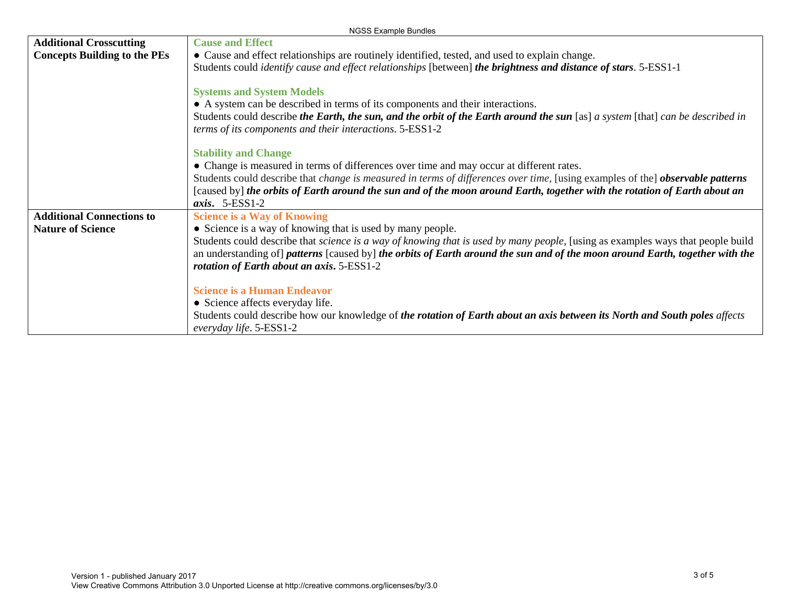|                                     | NGSS Example Bundles                                                                                                                                                                       |  |  |
|-------------------------------------|--------------------------------------------------------------------------------------------------------------------------------------------------------------------------------------------|--|--|
| <b>Additional Crosscutting</b>      | <b>Cause and Effect</b>                                                                                                                                                                    |  |  |
| <b>Concepts Building to the PEs</b> | • Cause and effect relationships are routinely identified, tested, and used to explain change.                                                                                             |  |  |
|                                     | Students could <i>identify cause and effect relationships</i> [between] <i>the brightness and distance of stars.</i> 5-ESS1-1                                                              |  |  |
|                                     |                                                                                                                                                                                            |  |  |
|                                     | <b>Systems and System Models</b>                                                                                                                                                           |  |  |
|                                     | • A system can be described in terms of its components and their interactions.                                                                                                             |  |  |
|                                     | Students could describe the Earth, the sun, and the orbit of the Earth around the sun [as] a system [that] can be described in<br>terms of its components and their interactions. 5-ESS1-2 |  |  |
|                                     | <b>Stability and Change</b>                                                                                                                                                                |  |  |
|                                     | • Change is measured in terms of differences over time and may occur at different rates.                                                                                                   |  |  |
|                                     | Students could describe that <i>change is measured in terms of differences over time</i> , [using examples of the] <b><i>observable patterns</i></b>                                       |  |  |
|                                     | [caused by] the orbits of Earth around the sun and of the moon around Earth, together with the rotation of Earth about an                                                                  |  |  |
|                                     | axis. $5-ESS1-2$                                                                                                                                                                           |  |  |
| <b>Additional Connections to</b>    | <b>Science is a Way of Knowing</b>                                                                                                                                                         |  |  |
| <b>Nature of Science</b>            | • Science is a way of knowing that is used by many people.                                                                                                                                 |  |  |
|                                     | Students could describe that <i>science is a way of knowing that is used by many people</i> , [using as examples ways that people build                                                    |  |  |
|                                     | an understanding of] patterns [caused by] the orbits of Earth around the sun and of the moon around Earth, together with the                                                               |  |  |
|                                     | rotation of Earth about an axis. 5-ESS1-2                                                                                                                                                  |  |  |
|                                     | <b>Science is a Human Endeavor</b>                                                                                                                                                         |  |  |
|                                     | • Science affects everyday life.                                                                                                                                                           |  |  |
|                                     | Students could describe how our knowledge of the rotation of Earth about an axis between its North and South poles affects<br>everyday life. 5-ESS1-2                                      |  |  |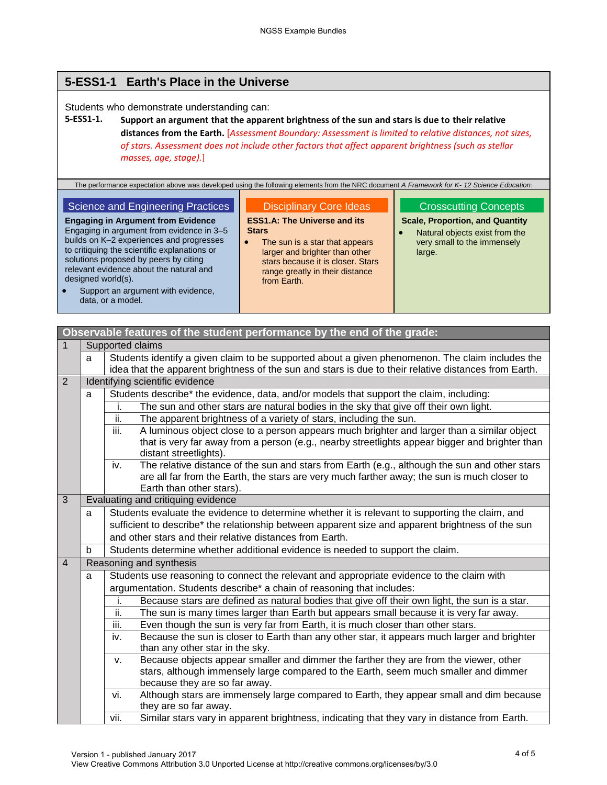# **5-ESS1-1 Earth's Place in the Universe**

Students who demonstrate understanding can:

## **5-ESS1-1. Support an argument that the apparent brightness of the sun and stars is due to their relative distances from the Earth.** [*Assessment Boundary: Assessment is limited to relative distances, not sizes, of stars. Assessment does not include other factors that affect apparent brightness (such as stellar masses, age, stage).*]

The performance expectation above was developed using the following elements from the NRC document *A Framework for K- 12 Science Education*:

#### Science and Engineering Practices

**Engaging in Argument from Evidence** Engaging in argument from evidence in 3–5 builds on K–2 experiences and progresses to critiquing the scientific explanations or solutions proposed by peers by citing relevant evidence about the natural and designed world(s).

## Disciplinary Core Ideas

**ESS1.A: The Universe and its Stars**

• The sun is a star that appears larger and brighter than other stars because it is closer. Stars range greatly in their distance from Earth.

## Crosscutting Concepts

**Scale, Proportion, and Quantity**

 Natural objects exist from the very small to the immensely large.

| $\bullet$ | Support an argument with evidence. |
|-----------|------------------------------------|
|           | data, or a model.                  |

|                | Observable features of the student performance by the end of the grade: |                                                                                                                                                                                                                                                                                                                                                                                                                                                        |  |  |
|----------------|-------------------------------------------------------------------------|--------------------------------------------------------------------------------------------------------------------------------------------------------------------------------------------------------------------------------------------------------------------------------------------------------------------------------------------------------------------------------------------------------------------------------------------------------|--|--|
| $\mathbf{1}$   |                                                                         | Supported claims                                                                                                                                                                                                                                                                                                                                                                                                                                       |  |  |
|                | a                                                                       | Students identify a given claim to be supported about a given phenomenon. The claim includes the                                                                                                                                                                                                                                                                                                                                                       |  |  |
|                |                                                                         | idea that the apparent brightness of the sun and stars is due to their relative distances from Earth.                                                                                                                                                                                                                                                                                                                                                  |  |  |
| 2              |                                                                         | Identifying scientific evidence                                                                                                                                                                                                                                                                                                                                                                                                                        |  |  |
|                | a                                                                       | Students describe* the evidence, data, and/or models that support the claim, including:                                                                                                                                                                                                                                                                                                                                                                |  |  |
|                |                                                                         | The sun and other stars are natural bodies in the sky that give off their own light.<br>i.                                                                                                                                                                                                                                                                                                                                                             |  |  |
|                |                                                                         | ii.<br>The apparent brightness of a variety of stars, including the sun.                                                                                                                                                                                                                                                                                                                                                                               |  |  |
|                |                                                                         | iii.<br>A luminous object close to a person appears much brighter and larger than a similar object                                                                                                                                                                                                                                                                                                                                                     |  |  |
|                |                                                                         | that is very far away from a person (e.g., nearby streetlights appear bigger and brighter than                                                                                                                                                                                                                                                                                                                                                         |  |  |
|                |                                                                         | distant streetlights).                                                                                                                                                                                                                                                                                                                                                                                                                                 |  |  |
|                |                                                                         | The relative distance of the sun and stars from Earth (e.g., although the sun and other stars<br>iv.                                                                                                                                                                                                                                                                                                                                                   |  |  |
|                |                                                                         | are all far from the Earth, the stars are very much farther away; the sun is much closer to                                                                                                                                                                                                                                                                                                                                                            |  |  |
| 3              |                                                                         | Earth than other stars).                                                                                                                                                                                                                                                                                                                                                                                                                               |  |  |
|                | Evaluating and critiquing evidence                                      |                                                                                                                                                                                                                                                                                                                                                                                                                                                        |  |  |
|                | a                                                                       | Students evaluate the evidence to determine whether it is relevant to supporting the claim, and                                                                                                                                                                                                                                                                                                                                                        |  |  |
|                |                                                                         | sufficient to describe* the relationship between apparent size and apparent brightness of the sun<br>and other stars and their relative distances from Earth.                                                                                                                                                                                                                                                                                          |  |  |
|                | b                                                                       |                                                                                                                                                                                                                                                                                                                                                                                                                                                        |  |  |
|                |                                                                         | Students determine whether additional evidence is needed to support the claim.                                                                                                                                                                                                                                                                                                                                                                         |  |  |
| $\overline{4}$ |                                                                         | Reasoning and synthesis                                                                                                                                                                                                                                                                                                                                                                                                                                |  |  |
| a              |                                                                         | Students use reasoning to connect the relevant and appropriate evidence to the claim with                                                                                                                                                                                                                                                                                                                                                              |  |  |
|                | argumentation. Students describe* a chain of reasoning that includes:   |                                                                                                                                                                                                                                                                                                                                                                                                                                                        |  |  |
|                |                                                                         | Because stars are defined as natural bodies that give off their own light, the sun is a star.<br>i.                                                                                                                                                                                                                                                                                                                                                    |  |  |
|                |                                                                         | ii.<br>The sun is many times larger than Earth but appears small because it is very far away.                                                                                                                                                                                                                                                                                                                                                          |  |  |
|                |                                                                         | iii.<br>Even though the sun is very far from Earth, it is much closer than other stars.                                                                                                                                                                                                                                                                                                                                                                |  |  |
|                |                                                                         | Because the sun is closer to Earth than any other star, it appears much larger and brighter<br>iv.                                                                                                                                                                                                                                                                                                                                                     |  |  |
|                |                                                                         | than any other star in the sky.                                                                                                                                                                                                                                                                                                                                                                                                                        |  |  |
|                |                                                                         |                                                                                                                                                                                                                                                                                                                                                                                                                                                        |  |  |
|                |                                                                         |                                                                                                                                                                                                                                                                                                                                                                                                                                                        |  |  |
|                |                                                                         |                                                                                                                                                                                                                                                                                                                                                                                                                                                        |  |  |
|                |                                                                         |                                                                                                                                                                                                                                                                                                                                                                                                                                                        |  |  |
|                |                                                                         |                                                                                                                                                                                                                                                                                                                                                                                                                                                        |  |  |
|                |                                                                         | Because objects appear smaller and dimmer the farther they are from the viewer, other<br>V.<br>stars, although immensely large compared to the Earth, seem much smaller and dimmer<br>because they are so far away.<br>Although stars are immensely large compared to Earth, they appear small and dim because<br>vi.<br>they are so far away.<br>Similar stars vary in apparent brightness, indicating that they vary in distance from Earth.<br>vii. |  |  |